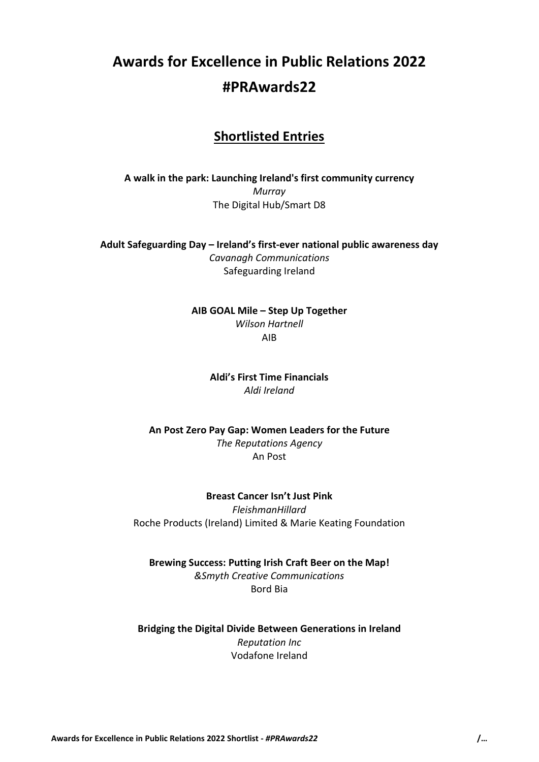# **Awards for Excellence in Public Relations 2022 #PRAwards22**

# **Shortlisted Entries**

**A walk in the park: Launching Ireland's first community currency** *Murray* The Digital Hub/Smart D8

**Adult Safeguarding Day – Ireland's first-ever national public awareness day** *Cavanagh Communications* Safeguarding Ireland

> **AIB GOAL Mile – Step Up Together** *Wilson Hartnell* AIB

> > **Aldi's First Time Financials** *Aldi Ireland*

**An Post Zero Pay Gap: Women Leaders for the Future** *The Reputations Agency* An Post

**Breast Cancer Isn't Just Pink** *FleishmanHillard* Roche Products (Ireland) Limited & Marie Keating Foundation

**Brewing Success: Putting Irish Craft Beer on the Map!** *&Smyth Creative Communications*

Bord Bia

**Bridging the Digital Divide Between Generations in Ireland** *Reputation Inc* Vodafone Ireland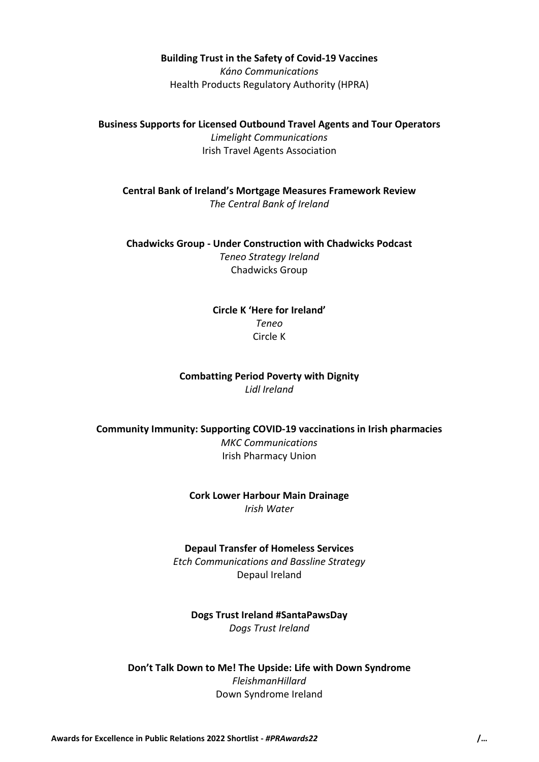#### **Building Trust in the Safety of Covid-19 Vaccines**

*Káno Communications* Health Products Regulatory Authority (HPRA)

**Business Supports for Licensed Outbound Travel Agents and Tour Operators** *Limelight Communications* Irish Travel Agents Association

**Central Bank of Ireland's Mortgage Measures Framework Review** *The Central Bank of Ireland*

**Chadwicks Group - Under Construction with Chadwicks Podcast** *Teneo Strategy Ireland* Chadwicks Group

> **Circle K 'Here for Ireland'** *Teneo* Circle K

# **Combatting Period Poverty with Dignity** *Lidl Ireland*

**Community Immunity: Supporting COVID-19 vaccinations in Irish pharmacies** *MKC Communications* Irish Pharmacy Union

> **Cork Lower Harbour Main Drainage** *Irish Water*

#### **Depaul Transfer of Homeless Services**

*Etch Communications and Bassline Strategy* Depaul Ireland

**Dogs Trust Ireland #SantaPawsDay** *Dogs Trust Ireland*

**Don't Talk Down to Me! The Upside: Life with Down Syndrome** *FleishmanHillard* Down Syndrome Ireland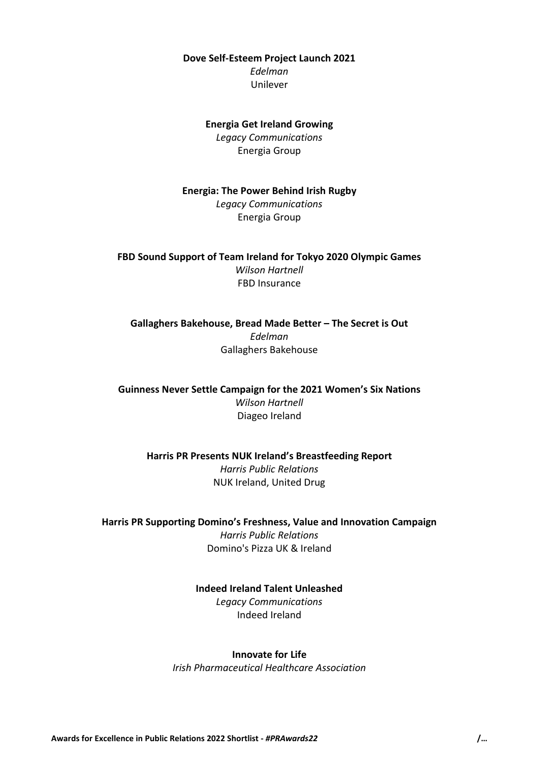**Dove Self-Esteem Project Launch 2021** *Edelman* Unilever

# **Energia Get Ireland Growing** *Legacy Communications* Energia Group

**Energia: The Power Behind Irish Rugby** *Legacy Communications* Energia Group

**FBD Sound Support of Team Ireland for Tokyo 2020 Olympic Games** *Wilson Hartnell* FBD Insurance

**Gallaghers Bakehouse, Bread Made Better – The Secret is Out** *Edelman* Gallaghers Bakehouse

**Guinness Never Settle Campaign for the 2021 Women's Six Nations** *Wilson Hartnell* Diageo Ireland

**Harris PR Presents NUK Ireland's Breastfeeding Report** *Harris Public Relations* NUK Ireland, United Drug

**Harris PR Supporting Domino's Freshness, Value and Innovation Campaign** *Harris Public Relations* Domino's Pizza UK & Ireland

> **Indeed Ireland Talent Unleashed** *Legacy Communications* Indeed Ireland

#### **Innovate for Life**

*Irish Pharmaceutical Healthcare Association*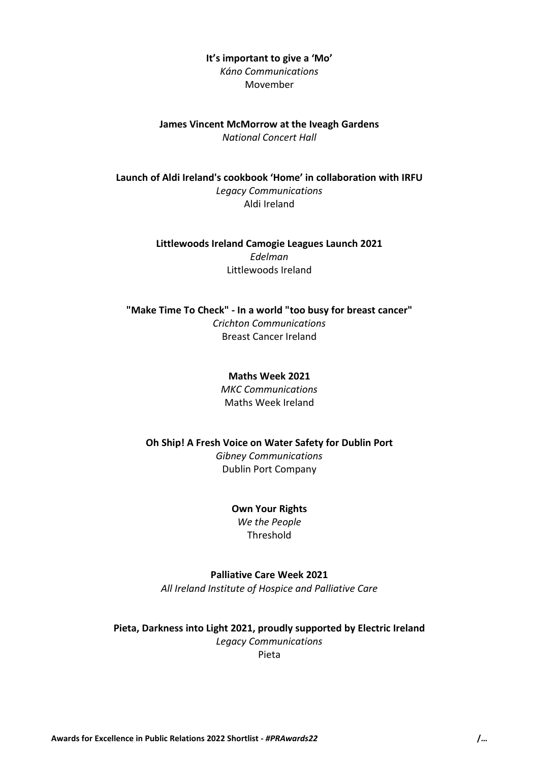# **It's important to give a 'Mo'**

*Káno Communications* Movember

#### **James Vincent McMorrow at the Iveagh Gardens** *National Concert Hall*

**Launch of Aldi Ireland's cookbook 'Home' in collaboration with IRFU** *Legacy Communications* Aldi Ireland

> **Littlewoods Ireland Camogie Leagues Launch 2021** *Edelman* Littlewoods Ireland

**"Make Time To Check" - In a world "too busy for breast cancer"** *Crichton Communications* Breast Cancer Ireland

> **Maths Week 2021** *MKC Communications* Maths Week Ireland

**Oh Ship! A Fresh Voice on Water Safety for Dublin Port** *Gibney Communications* Dublin Port Company

> **Own Your Rights** *We the People* Threshold

**Palliative Care Week 2021** *All Ireland Institute of Hospice and Palliative Care*

**Pieta, Darkness into Light 2021, proudly supported by Electric Ireland** *Legacy Communications* Pieta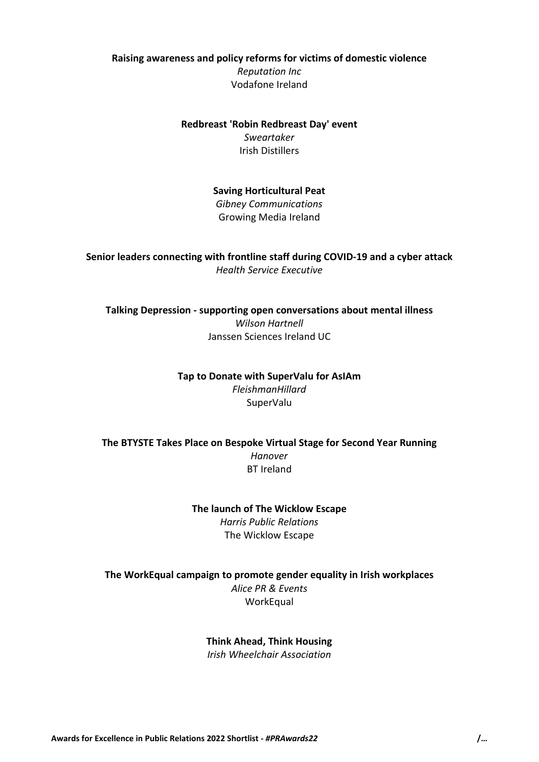**Raising awareness and policy reforms for victims of domestic violence** *Reputation Inc* Vodafone Ireland

> **Redbreast 'Robin Redbreast Day' event** *Sweartaker* Irish Distillers

> > **Saving Horticultural Peat** *Gibney Communications* Growing Media Ireland

# **Senior leaders connecting with frontline staff during COVID-19 and a cyber attack** *Health Service Executive*

**Talking Depression - supporting open conversations about mental illness** *Wilson Hartnell* Janssen Sciences Ireland UC

> **Tap to Donate with SuperValu for AsIAm** *FleishmanHillard* SuperValu

**The BTYSTE Takes Place on Bespoke Virtual Stage for Second Year Running** *Hanover* BT Ireland

> **The launch of The Wicklow Escape** *Harris Public Relations* The Wicklow Escape

**The WorkEqual campaign to promote gender equality in Irish workplaces** *Alice PR & Events* **WorkEqual** 

**Think Ahead, Think Housing**

*Irish Wheelchair Association*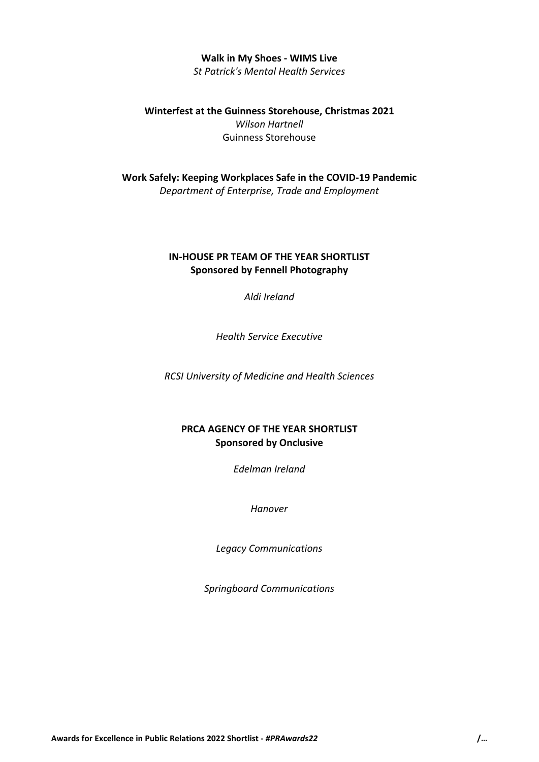#### **Walk in My Shoes - WIMS Live** *St Patrick's Mental Health Services*

**Winterfest at the Guinness Storehouse, Christmas 2021** *Wilson Hartnell* Guinness Storehouse

**Work Safely: Keeping Workplaces Safe in the COVID-19 Pandemic** *Department of Enterprise, Trade and Employment*

### **IN-HOUSE PR TEAM OF THE YEAR SHORTLIST Sponsored by Fennell Photography**

*Aldi Ireland*

*Health Service Executive*

*RCSI University of Medicine and Health Sciences*

# **PRCA AGENCY OF THE YEAR SHORTLIST Sponsored by Onclusive**

*Edelman Ireland*

*Hanover*

*Legacy Communications*

*Springboard Communications*